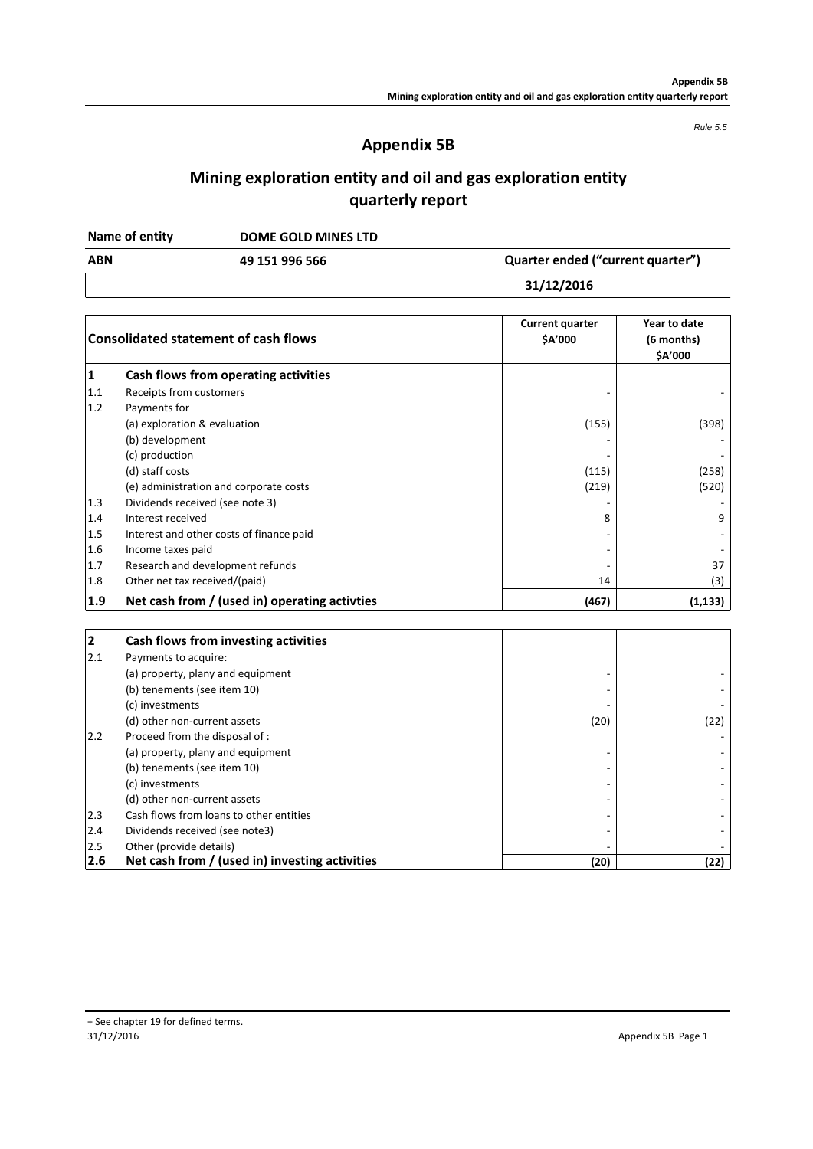*Rule 5.5*

# **Appendix 5B**

# **Mining exploration entity and oil and gas exploration entity quarterly report**

| Name of entity | DOME GOLD MINES LTD |                                   |
|----------------|---------------------|-----------------------------------|
| <b>ABN</b>     | 49 151 996 566      | Quarter ended ("current quarter") |
|                |                     | 31/12/2016                        |

|                         | <b>Consolidated statement of cash flows</b>   | <b>Current quarter</b><br>\$A'000 | Year to date<br>(6 months)<br>\$A'000 |  |
|-------------------------|-----------------------------------------------|-----------------------------------|---------------------------------------|--|
| 1                       | Cash flows from operating activities          |                                   |                                       |  |
| 1.1                     | Receipts from customers                       |                                   |                                       |  |
| 1.2                     | Payments for                                  |                                   |                                       |  |
|                         | (a) exploration & evaluation                  | (155)                             | (398)                                 |  |
|                         | (b) development                               |                                   |                                       |  |
|                         | (c) production                                |                                   |                                       |  |
|                         | (d) staff costs                               | (115)                             | (258)                                 |  |
|                         | (e) administration and corporate costs        | (219)                             | (520)                                 |  |
| 1.3                     | Dividends received (see note 3)               |                                   |                                       |  |
| 1.4                     | Interest received                             | 8                                 | 9                                     |  |
| 1.5                     | Interest and other costs of finance paid      |                                   |                                       |  |
| 1.6                     | Income taxes paid                             |                                   |                                       |  |
| 1.7                     | Research and development refunds              |                                   | 37                                    |  |
| 1.8                     | Other net tax received/(paid)                 | 14                                | (3)                                   |  |
| 1.9                     | Net cash from / (used in) operating activties | (467)                             | (1, 133)                              |  |
| $\overline{\mathbf{2}}$ | Cash flows from investing activities          |                                   |                                       |  |
| 2.1                     | Payments to acquire:                          |                                   |                                       |  |
|                         | (a) property, plany and equipment             |                                   |                                       |  |
|                         | (b) tenements (see item 10)                   |                                   |                                       |  |
|                         | (c) investments                               |                                   |                                       |  |
|                         | (d) other non-current assets                  | (20)                              | (22)                                  |  |
| 2.2                     | Proceed from the disposal of :                |                                   |                                       |  |
|                         | (a) property, plany and equipment             |                                   |                                       |  |

| 2.6  | Net cash from / (used in) investing activities | (20) | (22) |
|------|------------------------------------------------|------|------|
| 2.5  | Other (provide details)                        |      |      |
| 2.4  | Dividends received (see note3)                 |      |      |
| 12.3 | Cash flows from loans to other entities        |      |      |
|      | (d) other non-current assets                   |      |      |
|      | (c) investments                                |      |      |
|      | (b) tenements (see item 10)                    |      |      |
|      | (a) property, plany and equipment              |      |      |
|      |                                                |      |      |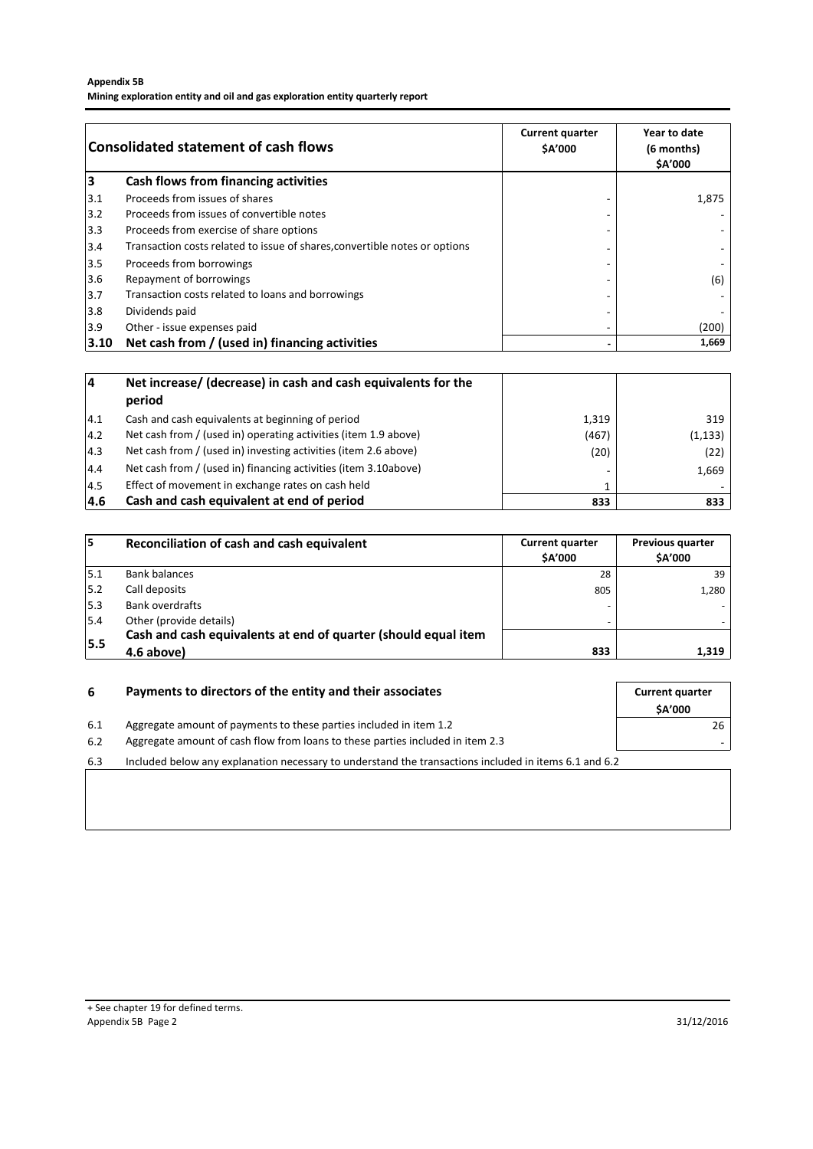## **Appendix 5B**

**Mining exploration entity and oil and gas exploration entity quarterly report**

| <b>Consolidated statement of cash flows</b> |                                                                            | <b>Current quarter</b><br><b>SA'000</b> | Year to date<br>(6 months)<br><b>SA'000</b> |
|---------------------------------------------|----------------------------------------------------------------------------|-----------------------------------------|---------------------------------------------|
| 3                                           | Cash flows from financing activities                                       |                                         |                                             |
| 3.1                                         | Proceeds from issues of shares                                             |                                         | 1,875                                       |
| $3.2$                                       | Proceeds from issues of convertible notes                                  |                                         |                                             |
| 3.3                                         | Proceeds from exercise of share options                                    |                                         |                                             |
| 3.4                                         | Transaction costs related to issue of shares, convertible notes or options |                                         |                                             |
| $3.5$                                       | Proceeds from borrowings                                                   |                                         |                                             |
| 3.6                                         | Repayment of borrowings                                                    |                                         | (6)                                         |
| 3.7                                         | Transaction costs related to loans and borrowings                          |                                         |                                             |
| 3.8                                         | Dividends paid                                                             |                                         |                                             |
| 3.9                                         | Other - issue expenses paid                                                | ۰                                       | (200)                                       |
| $ 3.10\rangle$                              | Net cash from / (used in) financing activities                             | ۰                                       | 1,669                                       |

| 14            | Net increase/ (decrease) in cash and cash equivalents for the   |       |          |
|---------------|-----------------------------------------------------------------|-------|----------|
|               | period                                                          |       |          |
| 4.1           | Cash and cash equivalents at beginning of period                | 1,319 | 319      |
| $ 4.2\rangle$ | Net cash from / (used in) operating activities (item 1.9 above) | (467) | (1, 133) |
| 14.3          | Net cash from / (used in) investing activities (item 2.6 above) | (20)  | (22)     |
| 4.4           | Net cash from / (used in) financing activities (item 3.10above) |       | 1,669    |
| 4.5           | Effect of movement in exchange rates on cash held               |       |          |
| 14.6          | Cash and cash equivalent at end of period                       | 833   | 833      |

| 15  | Reconciliation of cash and cash equivalent                     | <b>Current quarter</b><br><b>SA'000</b> | <b>Previous quarter</b><br><b>SA'000</b> |
|-----|----------------------------------------------------------------|-----------------------------------------|------------------------------------------|
| 5.1 | <b>Bank balances</b>                                           | 28                                      | 39                                       |
| 5.2 | Call deposits                                                  | 805                                     | 1,280                                    |
| 5.3 | <b>Bank overdrafts</b>                                         | -                                       |                                          |
| 5.4 | Other (provide details)                                        |                                         |                                          |
| 5.5 | Cash and cash equivalents at end of quarter (should equal item |                                         |                                          |
|     | 4.6 above)                                                     | 833                                     | 1,319                                    |

| 6   | Payments to directors of the entity and their associates                                              | <b>Current quarter</b> |
|-----|-------------------------------------------------------------------------------------------------------|------------------------|
|     |                                                                                                       | <b>SA'000</b>          |
| 6.1 | Aggregate amount of payments to these parties included in item 1.2                                    | 26                     |
| 6.2 | Aggregate amount of cash flow from loans to these parties included in item 2.3                        |                        |
| 6.3 | Included below any explanation necessary to understand the transactions included in items 6.1 and 6.2 |                        |
|     |                                                                                                       |                        |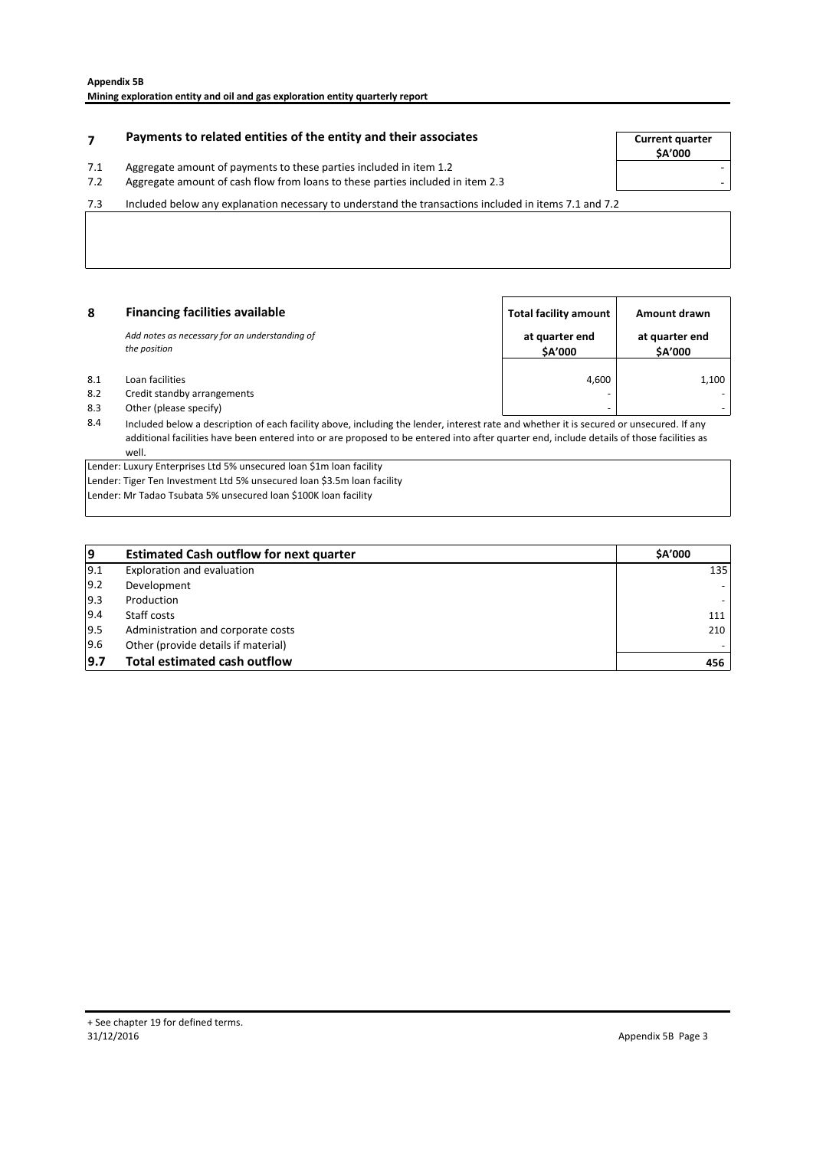# **Payments to related entities of the entity and their associates The Current quarter**

#### 7.1 Aggregate amount of payments to these parties included in item 1.2

**\$A'000**

7.2 - Aggregate amount of cash flow from loans to these parties included in item 2.3

7.3 Included below any explanation necessary to understand the transactions included in items 7.1 and 7.2

| 8   | <b>Financing facilities available</b>                          | <b>Total facility amount</b> | Amount drawn              |
|-----|----------------------------------------------------------------|------------------------------|---------------------------|
|     | Add notes as necessary for an understanding of<br>the position | at quarter end<br>\$A'000    | at quarter end<br>\$A'000 |
| 8.1 | Loan facilities                                                | 4.600                        | 1,100                     |
| 8.2 | Credit standby arrangements                                    | $\overline{\phantom{a}}$     |                           |
| 8.3 | Other (please specify)                                         | -                            |                           |

8.4 Included below a description of each facility above, including the lender, interest rate and whether it is secured or unsecured. If any additional facilities have been entered into or are proposed to be entered into after quarter end, include details of those facilities as well.

Lender: Luxury Enterprises Ltd 5% unsecured loan \$1m loan facility

Lender: Tiger Ten Investment Ltd 5% unsecured loan \$3.5m loan facility

Lender: Mr Tadao Tsubata 5% unsecured loan \$100K loan facility

| 19            | <b>Estimated Cash outflow for next quarter</b> | <b>SA'000</b> |
|---------------|------------------------------------------------|---------------|
| 9.1           | Exploration and evaluation                     | 135           |
| $ 9.2\rangle$ | Development                                    |               |
| $ 9.3\rangle$ | Production                                     |               |
| 9.4           | Staff costs                                    | 111           |
| 19.5          | Administration and corporate costs             | 210           |
| 9.6           | Other (provide details if material)            |               |
| 9.7           | <b>Total estimated cash outflow</b>            | 456           |